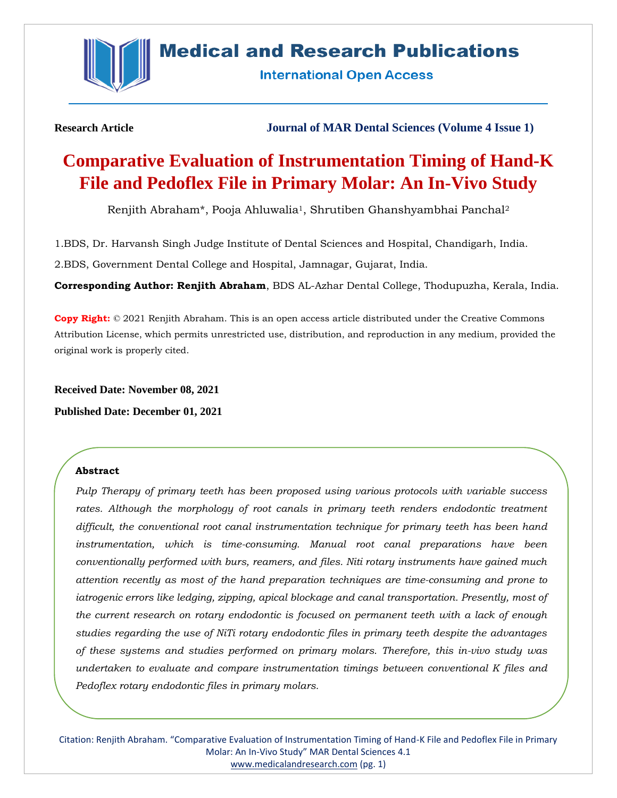

# **Medical and Research Publications**

**International Open Access** 

**Research Article Journal of MAR Dental Sciences (Volume 4 Issue 1)**

# **Comparative Evaluation of Instrumentation Timing of Hand-K File and Pedoflex File in Primary Molar: An In-Vivo Study**

Renjith Abraham\*, Pooja Ahluwalia1, Shrutiben Ghanshyambhai Panchal<sup>2</sup>

1.BDS, Dr. Harvansh Singh Judge Institute of Dental Sciences and Hospital, Chandigarh, India.

2.BDS, Government Dental College and Hospital, Jamnagar, Gujarat, India.

**Corresponding Author: Renjith Abraham**, BDS AL-Azhar Dental College, Thodupuzha, Kerala, India.

**Copy Right:** © 2021 Renjith Abraham. This is an open access article distributed under the Creative Commons Attribution License, which permits unrestricted use, distribution, and reproduction in any medium, provided the original work is properly cited.

**Received Date: November 08, 2021**

**Published Date: December 01, 2021**

# **Abstract**

*Pulp Therapy of primary teeth has been proposed using various protocols with variable success*  rates. Although the morphology of root canals in primary teeth renders endodontic treatment *difficult, the conventional root canal instrumentation technique for primary teeth has been hand instrumentation, which is time-consuming. Manual root canal preparations have been conventionally performed with burs, reamers, and files. Niti rotary instruments have gained much attention recently as most of the hand preparation techniques are time-consuming and prone to iatrogenic errors like ledging, zipping, apical blockage and canal transportation. Presently, most of the current research on rotary endodontic is focused on permanent teeth with a lack of enough studies regarding the use of NiTi rotary endodontic files in primary teeth despite the advantages of these systems and studies performed on primary molars. Therefore, this in-vivo study was undertaken to evaluate and compare instrumentation timings between conventional K files and Pedoflex rotary endodontic files in primary molars.*

Citation: Renjith Abraham. "Comparative Evaluation of Instrumentation Timing of Hand-K File and Pedoflex File in Primary Molar: An In-Vivo Study" MAR Dental Sciences 4.1 [www.medicalandresearch.com](http://www.medicalandresearch.com/) (pg. 1)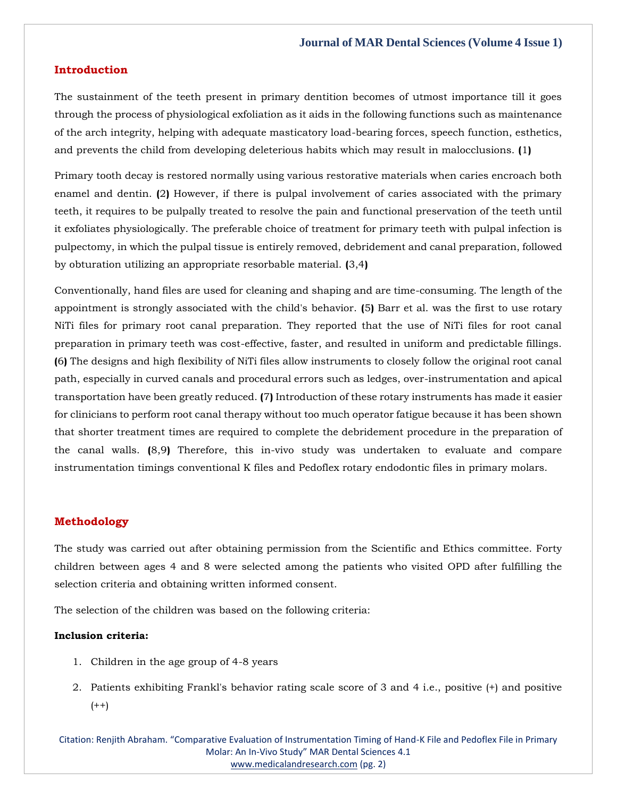# **Introduction**

The sustainment of the teeth present in primary dentition becomes of utmost importance till it goes through the process of physiological exfoliation as it aids in the following functions such as maintenance of the arch integrity, helping with adequate masticatory load-bearing forces, speech function, esthetics, and prevents the child from developing deleterious habits which may result in malocclusions. **(**1**)**

Primary tooth decay is restored normally using various restorative materials when caries encroach both enamel and dentin. **(**2**)** However, if there is pulpal involvement of caries associated with the primary teeth, it requires to be pulpally treated to resolve the pain and functional preservation of the teeth until it exfoliates physiologically. The preferable choice of treatment for primary teeth with pulpal infection is pulpectomy, in which the pulpal tissue is entirely removed, debridement and canal preparation, followed by obturation utilizing an appropriate resorbable material. **(**3,4**)**

Conventionally, hand files are used for cleaning and shaping and are time-consuming. The length of the appointment is strongly associated with the child's behavior. **(**5**)** Barr et al. was the first to use rotary NiTi files for primary root canal preparation. They reported that the use of NiTi files for root canal preparation in primary teeth was cost-effective, faster, and resulted in uniform and predictable fillings. **(**6**)** The designs and high flexibility of NiTi files allow instruments to closely follow the original root canal path, especially in curved canals and procedural errors such as ledges, over-instrumentation and apical transportation have been greatly reduced. **(**7**)** Introduction of these rotary instruments has made it easier for clinicians to perform root canal therapy without too much operator fatigue because it has been shown that shorter treatment times are required to complete the debridement procedure in the preparation of the canal walls. **(**8,9**)** Therefore, this in-vivo study was undertaken to evaluate and compare instrumentation timings conventional K files and Pedoflex rotary endodontic files in primary molars.

# **Methodology**

The study was carried out after obtaining permission from the Scientific and Ethics committee. Forty children between ages 4 and 8 were selected among the patients who visited OPD after fulfilling the selection criteria and obtaining written informed consent.

The selection of the children was based on the following criteria:

#### **Inclusion criteria:**

- 1. Children in the age group of 4-8 years
- 2. Patients exhibiting Frankl's behavior rating scale score of 3 and 4 i.e., positive (+) and positive  $(++)$

Citation: Renjith Abraham. "Comparative Evaluation of Instrumentation Timing of Hand-K File and Pedoflex File in Primary Molar: An In-Vivo Study" MAR Dental Sciences 4.1 [www.medicalandresearch.com](http://www.medicalandresearch.com/) (pg. 2)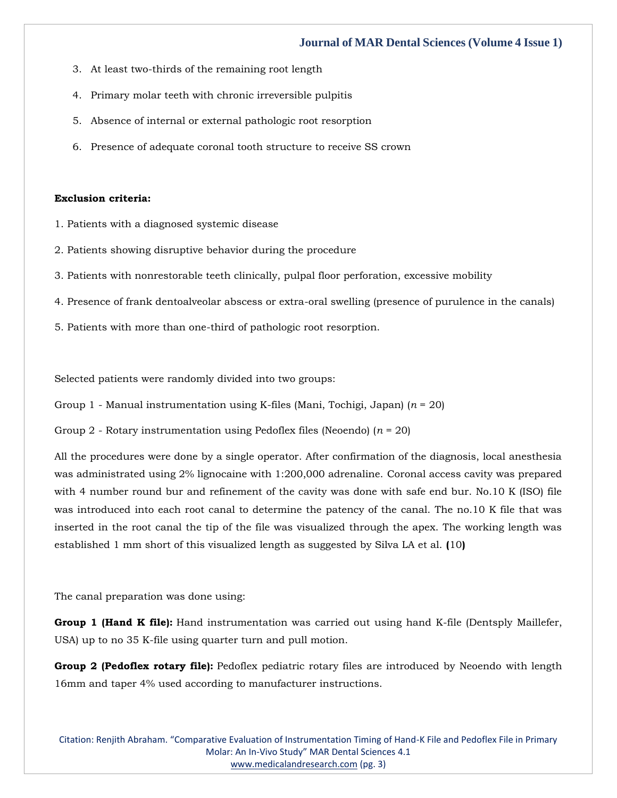# **Journal of MAR Dental Sciences (Volume 4 Issue 1)**

- 3. At least two-thirds of the remaining root length
- 4. Primary molar teeth with chronic irreversible pulpitis
- 5. Absence of internal or external pathologic root resorption
- 6. Presence of adequate coronal tooth structure to receive SS crown

#### **Exclusion criteria:**

- 1. Patients with a diagnosed systemic disease
- 2. Patients showing disruptive behavior during the procedure
- 3. Patients with nonrestorable teeth clinically, pulpal floor perforation, excessive mobility
- 4. Presence of frank dentoalveolar abscess or extra-oral swelling (presence of purulence in the canals)
- 5. Patients with more than one-third of pathologic root resorption.

Selected patients were randomly divided into two groups:

Group 1 - Manual instrumentation using K-files (Mani, Tochigi, Japan) (*n* = 20)

Group 2 - Rotary instrumentation using Pedoflex files (Neoendo) (*n* = 20)

All the procedures were done by a single operator. After confirmation of the diagnosis, local anesthesia was administrated using 2% lignocaine with 1:200,000 adrenaline. Coronal access cavity was prepared with 4 number round bur and refinement of the cavity was done with safe end bur. No.10 K (ISO) file was introduced into each root canal to determine the patency of the canal. The no.10 K file that was inserted in the root canal the tip of the file was visualized through the apex. The working length was established 1 mm short of this visualized length as suggested by Silva LA et al. **(**10**)**

The canal preparation was done using:

**Group 1 (Hand K file):** Hand instrumentation was carried out using hand K-file (Dentsply Maillefer, USA) up to no 35 K-file using quarter turn and pull motion.

**Group 2 (Pedoflex rotary file):** Pedoflex pediatric rotary files are introduced by Neoendo with length 16mm and taper 4% used according to manufacturer instructions.

Citation: Renjith Abraham. "Comparative Evaluation of Instrumentation Timing of Hand-K File and Pedoflex File in Primary Molar: An In-Vivo Study" MAR Dental Sciences 4.1 [www.medicalandresearch.com](http://www.medicalandresearch.com/) (pg. 3)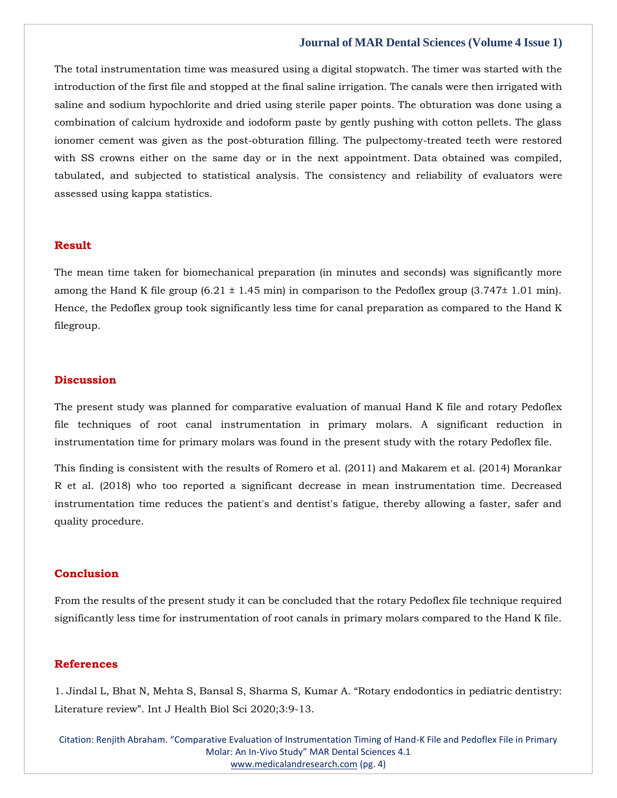## **Journal of MAR Dental Sciences (Volume 4 Issue 1)**

The total instrumentation time was measured using a digital stopwatch. The timer was started with the introduction of the first file and stopped at the final saline irrigation. The canals were then irrigated with saline and sodium hypochlorite and dried using sterile paper points. The obturation was done using a combination of calcium hydroxide and iodoform paste by gently pushing with cotton pellets. The glass ionomer cement was given as the post-obturation filling. The pulpectomy-treated teeth were restored with SS crowns either on the same day or in the next appointment. Data obtained was compiled, tabulated, and subjected to statistical analysis. The consistency and reliability of evaluators were assessed using kappa statistics.

# **Result**

The mean time taken for biomechanical preparation (in minutes and seconds) was significantly more among the Hand K file group  $(6.21 \pm 1.45 \text{ min})$  in comparison to the Pedoflex group  $(3.747 \pm 1.01 \text{ min})$ . Hence, the Pedoflex group took significantly less time for canal preparation as compared to the Hand K filegroup.

#### **Discussion**

The present study was planned for comparative evaluation of manual Hand K file and rotary Pedoflex file techniques of root canal instrumentation in primary molars. A significant reduction in instrumentation time for primary molars was found in the present study with the rotary Pedoflex file.

This finding is consistent with the results of Romero et al. (2011) and Makarem et al. (2014) Morankar R et al. (2018) who too reported a significant decrease in mean instrumentation time. Decreased instrumentation time reduces the patient's and dentist's fatigue, thereby allowing a faster, safer and quality procedure.

# **Conclusion**

From the results of the present study it can be concluded that the rotary Pedoflex file technique required significantly less time for instrumentation of root canals in primary molars compared to the Hand K file.

# **References**

1. [Jindal L, Bhat N, Mehta S, Bansal S, Sharma S, Kumar A.](https://www.google.com/search?q=Rotary+endodontics+in+pediatric+dentistry%3A+Literature+review&oq=Rotary+endodontics+in+pediatric+dentistry%3A+Literature+review&aqs=chrome..69i57.2624j0j7&sourceid=chrome&ie=UTF-8) "Rotary endodontics in pediatric dentistry: Literature review"[. Int J Health Biol Sci 2020;3:9-13.](https://www.google.com/search?q=Rotary+endodontics+in+pediatric+dentistry%3A+Literature+review&oq=Rotary+endodontics+in+pediatric+dentistry%3A+Literature+review&aqs=chrome..69i57.2624j0j7&sourceid=chrome&ie=UTF-8)

Citation: Renjith Abraham. "Comparative Evaluation of Instrumentation Timing of Hand-K File and Pedoflex File in Primary Molar: An In-Vivo Study" MAR Dental Sciences 4.1 [www.medicalandresearch.com](http://www.medicalandresearch.com/) (pg. 4)